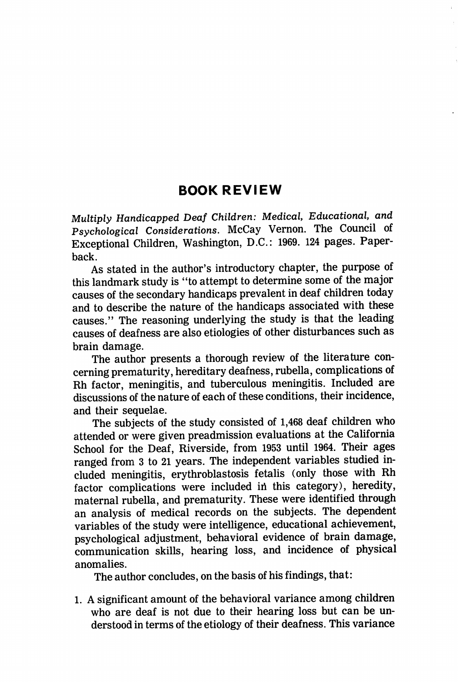## BOOK REVIEW

Multiply Handicapped Deaf Children: Medical, Educational, and Psychological Considerations. McCay Vernon. The Council of Exceptional Children, Washington, D.C.: 1969. 124 pages. Paper back.

As stated in the author's introductory chapter, the purpose of this landmark study is "to attempt to determine some of the major causes of the secondary handicaps prevalent in deaf children today and to describe the nature of the handicaps associated with these causes." The reasoning underlying the study is that the leading causes of deafness are also etiologies of other disturbances such as brain damage.

The author presents a thorough review of the literature con cerning prematurity, hereditary deafness, rubella, complications of Rh factor, meningitis, and tuberculous meningitis. Included are discussions of the nature of each of these conditions, their incidence, and their sequelae.

The subjects of the study consisted of 1,468 deaf children who attended or were given preadmission evaluations at the California School for the Deaf, Riverside, from 1953 until 1964. Their ages ranged from 3 to 21 years. The independent variables studied in cluded meningitis, erythroblastosis fetalis (only those with Rh factor complications were included ih this category), heredity, maternal rubella, and prematurity. These were identified through an analysis of medical records on the subjects. The dependent variables of the study were intelligence, educational achievement, psychological adjustment, behavioral evidence of brain damage, communication skills, hearing loss, and incidence of physical anomalies.

The author concludes, on the basis of his findings, that:

1. A significant amount of the behavioral variance among children who are deaf is not due to their hearing loss but can be un derstood in terms of the etiology of their deafness. This variance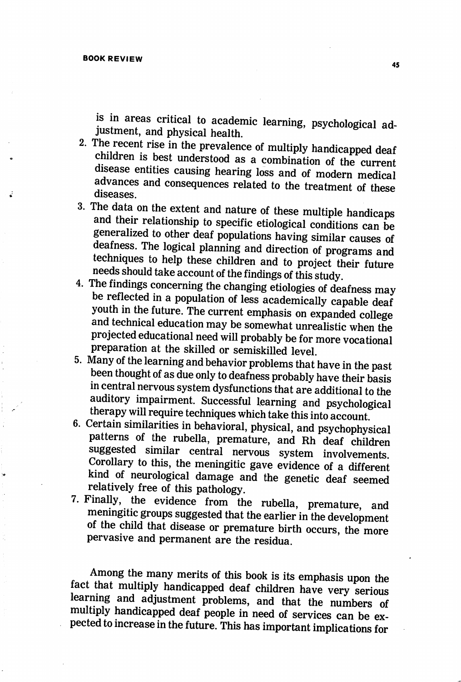is in areas critical to academic learning, psychological adjustment, and physical health.

- 2. The recent rise in the prevalence of multiply handicapped deaf children is best understood as a combination of the current disease entities causing hearing loss and of modern medical advances and consequences related to the treatment of these diseases.
- 3. The data on the extent and nature of these multiple handicaps and their relationship to specific etiological conditions can be generalized to other deaf populations having similar causes of deafness. The logical planning and direction of programs and techniques to help these children and to project their future needs should take account of the findings of this study.
- 4. The findings concerning the changing etiologies of deafness may be reflected in a population of less academically capable deaf youth in the future. The current emphasis on expanded college and technical education may be somewhat unrealistic when the projected educational need will probably be for more vocational preparation at the skilled or semiskilled level.
- 5. Many of the learning and behavior problems that have in the past been thought of as due only to deafness probably have their basis in central nervous system dysfunctions that are additional to the auditory impairment. Successful learning and psychological therapy will require techniques which take this into account.
- 6. Certain similarities in behavioral, physical, and psychophysical patterns of the rubella, premature, and Rh deaf children suggested similar central nervous system involvements. Corollary to this, the meningitic gave evidence of a different kind of neurological damage and the genetic deaf seemed relatively free of this pathology.
- 7. Finally, the evidence from the rubella, premature, and meningitic groups suggested that the earlier in the development of the child that disease or premature birth occurs, the more pervasive and permanent are the residua.

Among the many merits of this book is its emphasis upon the fact that multiply handicapped deaf children have very serious learning and adjustment problems, and that the numbers of multiply handicapped deaf people in need of services can be ex pected to increase in the future. This has important implications for